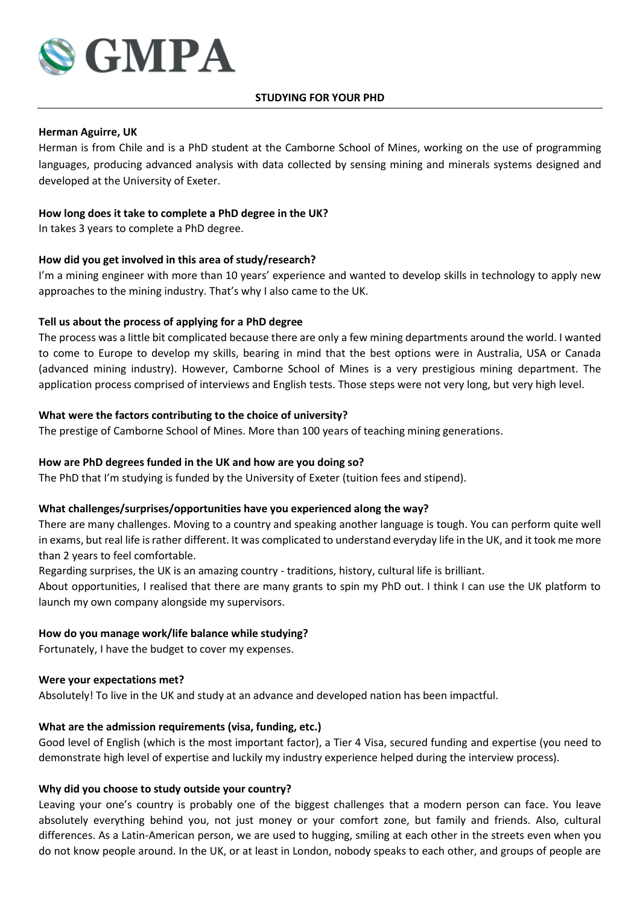

#### **STUDYING FOR YOUR PHD**

## **Herman Aguirre, UK**

Herman is from Chile and is a PhD student at the Camborne School of Mines, working on the use of programming languages, producing advanced analysis with data collected by sensing mining and minerals systems designed and developed at the University of Exeter.

## **How long does it take to complete a PhD degree in the UK?**

In takes 3 years to complete a PhD degree.

## **How did you get involved in this area of study/research?**

I'm a mining engineer with more than 10 years' experience and wanted to develop skills in technology to apply new approaches to the mining industry. That's why I also came to the UK.

## **Tell us about the process of applying for a PhD degree**

The process was a little bit complicated because there are only a few mining departments around the world. I wanted to come to Europe to develop my skills, bearing in mind that the best options were in Australia, USA or Canada (advanced mining industry). However, Camborne School of Mines is a very prestigious mining department. The application process comprised of interviews and English tests. Those steps were not very long, but very high level.

## **What were the factors contributing to the choice of university?**

The prestige of Camborne School of Mines. More than 100 years of teaching mining generations.

#### **How are PhD degrees funded in the UK and how are you doing so?**

The PhD that I'm studying is funded by the University of Exeter (tuition fees and stipend).

#### **What challenges/surprises/opportunities have you experienced along the way?**

There are many challenges. Moving to a country and speaking another language is tough. You can perform quite well in exams, but real life is rather different. It was complicated to understand everyday life in the UK, and it took me more than 2 years to feel comfortable.

Regarding surprises, the UK is an amazing country - traditions, history, cultural life is brilliant.

About opportunities, I realised that there are many grants to spin my PhD out. I think I can use the UK platform to launch my own company alongside my supervisors.

#### **How do you manage work/life balance while studying?**

Fortunately, I have the budget to cover my expenses.

#### **Were your expectations met?**

Absolutely! To live in the UK and study at an advance and developed nation has been impactful.

#### **What are the admission requirements (visa, funding, etc.)**

Good level of English (which is the most important factor), a Tier 4 Visa, secured funding and expertise (you need to demonstrate high level of expertise and luckily my industry experience helped during the interview process).

#### **Why did you choose to study outside your country?**

Leaving your one's country is probably one of the biggest challenges that a modern person can face. You leave absolutely everything behind you, not just money or your comfort zone, but family and friends. Also, cultural differences. As a Latin-American person, we are used to hugging, smiling at each other in the streets even when you do not know people around. In the UK, or at least in London, nobody speaks to each other, and groups of people are